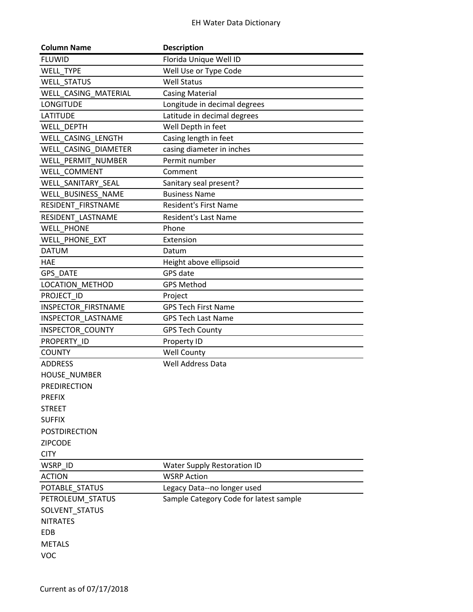| <b>Column Name</b>   | <b>Description</b>                     |
|----------------------|----------------------------------------|
| <b>FLUWID</b>        | Florida Unique Well ID                 |
| WELL_TYPE            | Well Use or Type Code                  |
| <b>WELL STATUS</b>   | <b>Well Status</b>                     |
| WELL CASING MATERIAL | <b>Casing Material</b>                 |
| <b>LONGITUDE</b>     | Longitude in decimal degrees           |
| <b>LATITUDE</b>      | Latitude in decimal degrees            |
| WELL DEPTH           | Well Depth in feet                     |
| WELL CASING LENGTH   | Casing length in feet                  |
| WELL CASING DIAMETER | casing diameter in inches              |
| WELL PERMIT NUMBER   | Permit number                          |
| WELL COMMENT         | Comment                                |
| WELL_SANITARY_SEAL   | Sanitary seal present?                 |
| WELL BUSINESS NAME   | <b>Business Name</b>                   |
| RESIDENT FIRSTNAME   | <b>Resident's First Name</b>           |
| RESIDENT LASTNAME    | <b>Resident's Last Name</b>            |
| <b>WELL PHONE</b>    | Phone                                  |
| WELL PHONE EXT       | Extension                              |
| <b>DATUM</b>         | Datum                                  |
| <b>HAE</b>           | Height above ellipsoid                 |
| <b>GPS DATE</b>      | GPS date                               |
| LOCATION METHOD      | <b>GPS Method</b>                      |
| PROJECT ID           | Project                                |
| INSPECTOR FIRSTNAME  | <b>GPS Tech First Name</b>             |
| INSPECTOR_LASTNAME   | <b>GPS Tech Last Name</b>              |
| INSPECTOR COUNTY     | <b>GPS Tech County</b>                 |
| PROPERTY ID          | Property ID                            |
| <b>COUNTY</b>        | Well County                            |
| <b>ADDRESS</b>       | Well Address Data                      |
| <b>HOUSE NUMBER</b>  |                                        |
| <b>PREDIRECTION</b>  |                                        |
| <b>PREFIX</b>        |                                        |
| <b>STREET</b>        |                                        |
| <b>SUFFIX</b>        |                                        |
| <b>POSTDIRECTION</b> |                                        |
| <b>ZIPCODE</b>       |                                        |
| <b>CITY</b>          |                                        |
| WSRP ID              | <b>Water Supply Restoration ID</b>     |
| <b>ACTION</b>        | <b>WSRP Action</b>                     |
| POTABLE_STATUS       | Legacy Data--no longer used            |
| PETROLEUM_STATUS     | Sample Category Code for latest sample |
| SOLVENT_STATUS       |                                        |
| <b>NITRATES</b>      |                                        |
| <b>EDB</b>           |                                        |
| <b>METALS</b>        |                                        |
| <b>VOC</b>           |                                        |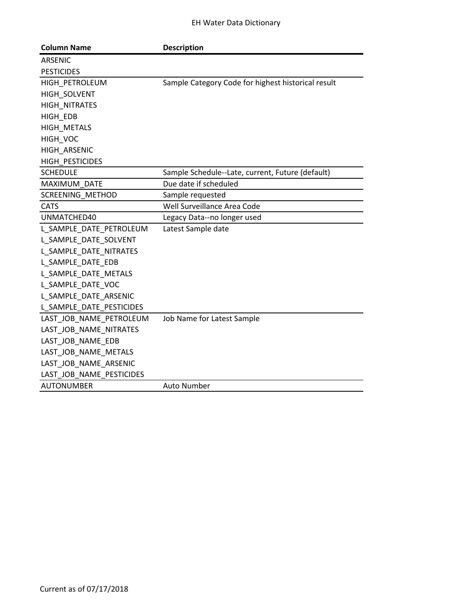| <b>Column Name</b>       | <b>Description</b>                                 |
|--------------------------|----------------------------------------------------|
| <b>ARSENIC</b>           |                                                    |
| <b>PESTICIDES</b>        |                                                    |
| HIGH_PETROLEUM           | Sample Category Code for highest historical result |
| HIGH SOLVENT             |                                                    |
| HIGH NITRATES            |                                                    |
| HIGH EDB                 |                                                    |
| HIGH_METALS              |                                                    |
| HIGH_VOC                 |                                                    |
| HIGH ARSENIC             |                                                    |
| HIGH PESTICIDES          |                                                    |
| <b>SCHEDULE</b>          | Sample Schedule--Late, current, Future (default)   |
| MAXIMUM DATE             | Due date if scheduled                              |
| SCREENING_METHOD         | Sample requested                                   |
| <b>CATS</b>              | Well Surveillance Area Code                        |
| UNMATCHED40              | Legacy Data--no longer used                        |
| L_SAMPLE_DATE_PETROLEUM  | Latest Sample date                                 |
| L SAMPLE DATE SOLVENT    |                                                    |
| L_SAMPLE_DATE_NITRATES   |                                                    |
| L SAMPLE DATE EDB        |                                                    |
| L_SAMPLE_DATE_METALS     |                                                    |
| L_SAMPLE_DATE_VOC        |                                                    |
| L SAMPLE DATE ARSENIC    |                                                    |
| L_SAMPLE_DATE_PESTICIDES |                                                    |
| LAST_JOB_NAME_PETROLEUM  | Job Name for Latest Sample                         |
| LAST_JOB_NAME_NITRATES   |                                                    |
| LAST_JOB_NAME_EDB        |                                                    |
| LAST JOB NAME METALS     |                                                    |
| LAST_JOB_NAME_ARSENIC    |                                                    |
| LAST JOB NAME PESTICIDES |                                                    |
| <b>AUTONUMBER</b>        | <b>Auto Number</b>                                 |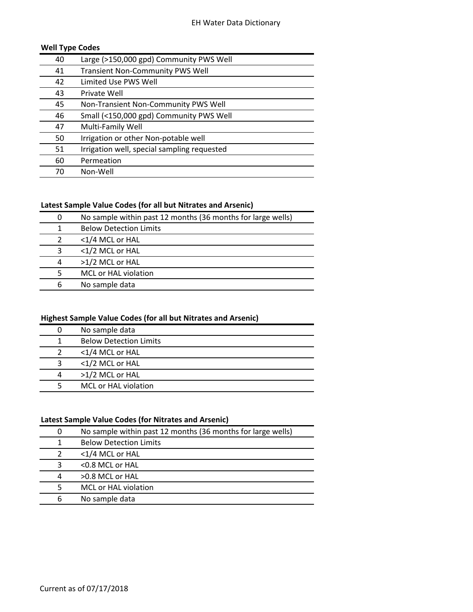## **Well Type Codes**

| 40 | Large (>150,000 gpd) Community PWS Well     |
|----|---------------------------------------------|
| 41 | <b>Transient Non-Community PWS Well</b>     |
| 42 | Limited Use PWS Well                        |
| 43 | Private Well                                |
| 45 | Non-Transient Non-Community PWS Well        |
| 46 | Small (<150,000 gpd) Community PWS Well     |
| 47 | Multi-Family Well                           |
| 50 | Irrigation or other Non-potable well        |
| 51 | Irrigation well, special sampling requested |
| 60 | Permeation                                  |
| 70 | Non-Well                                    |

#### **Latest Sample Value Codes (for all but Nitrates and Arsenic)**

| <b>Below Detection Limits</b><br>1 |  |
|------------------------------------|--|
|                                    |  |
| <1/4 MCL or HAL<br>$\mathcal{P}$   |  |
| <1/2 MCL or HAL<br>3               |  |
| >1/2 MCL or HAL<br>4               |  |
| MCL or HAL violation<br>-5         |  |
| No sample data<br>6                |  |

# **Highest Sample Value Codes (for all but Nitrates and Arsenic)**

|   | No sample data                |
|---|-------------------------------|
|   | <b>Below Detection Limits</b> |
|   | <1/4 MCL or HAL               |
| 3 | <1/2 MCL or HAL               |
| 4 | >1/2 MCL or HAL               |
|   | MCL or HAL violation          |

#### **Latest Sample Value Codes (for Nitrates and Arsenic)**

|   | No sample within past 12 months (36 months for large wells) |
|---|-------------------------------------------------------------|
| 1 | <b>Below Detection Limits</b>                               |
|   | <1/4 MCL or HAL                                             |
| 3 | $<$ 0.8 MCL or HAL                                          |
| 4 | $>0.8$ MCL or HAL                                           |
| 5 | MCL or HAL violation                                        |
| 6 | No sample data                                              |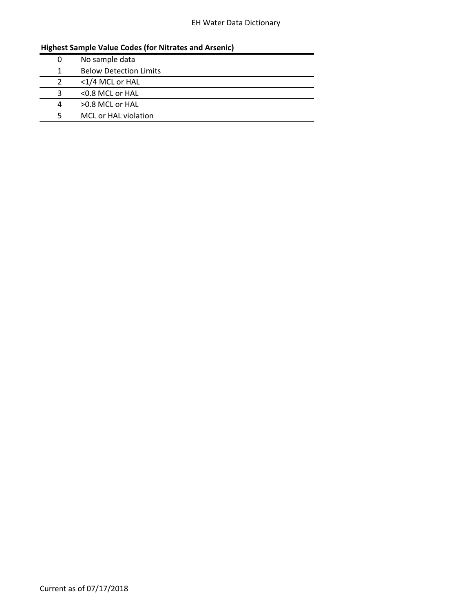# EH Water Data Dictionary

# **Highest Sample Value Codes (for Nitrates and Arsenic)**

|   | No sample data                |
|---|-------------------------------|
|   | <b>Below Detection Limits</b> |
|   | <1/4 MCL or HAL               |
|   | <0.8 MCL or HAL               |
| 4 | >0.8 MCL or HAL               |
|   | MCL or HAL violation          |